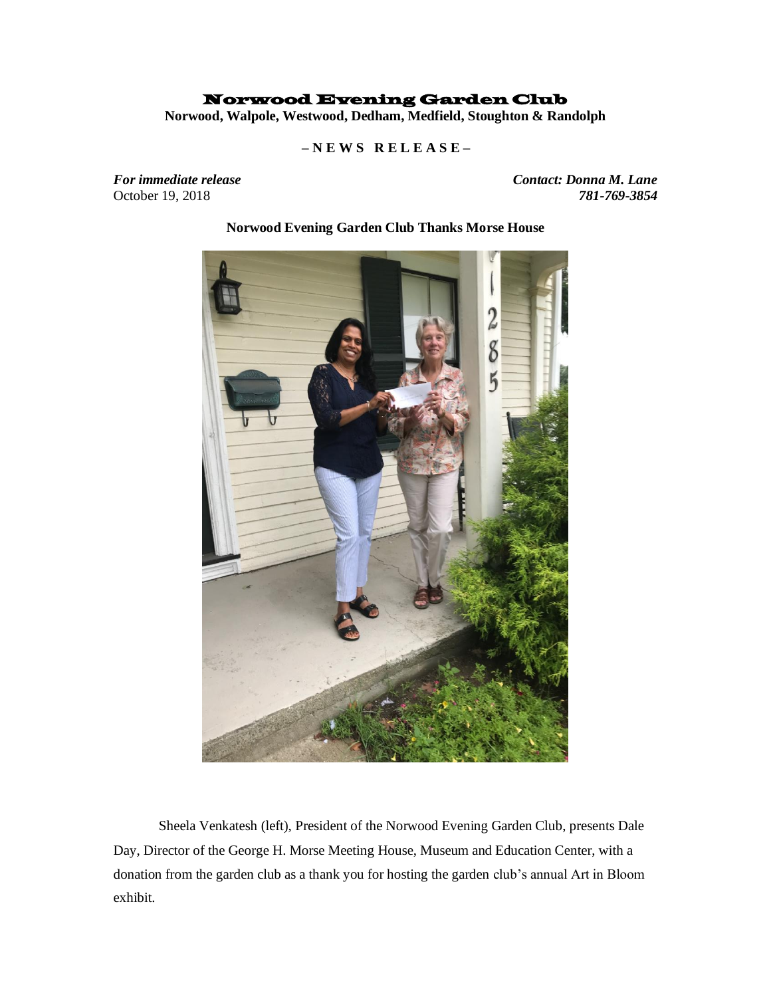## Norwood Evening Garden Club

**Norwood, Walpole, Westwood, Dedham, Medfield, Stoughton & Randolph**

 **– N E W S R E L E A S E –**

October 19, 2018

*For immediate release Contact: Donna M. Lane* 



## **Norwood Evening Garden Club Thanks Morse House**

Sheela Venkatesh (left), President of the Norwood Evening Garden Club, presents Dale Day, Director of the George H. Morse Meeting House, Museum and Education Center, with a donation from the garden club as a thank you for hosting the garden club's annual Art in Bloom exhibit.